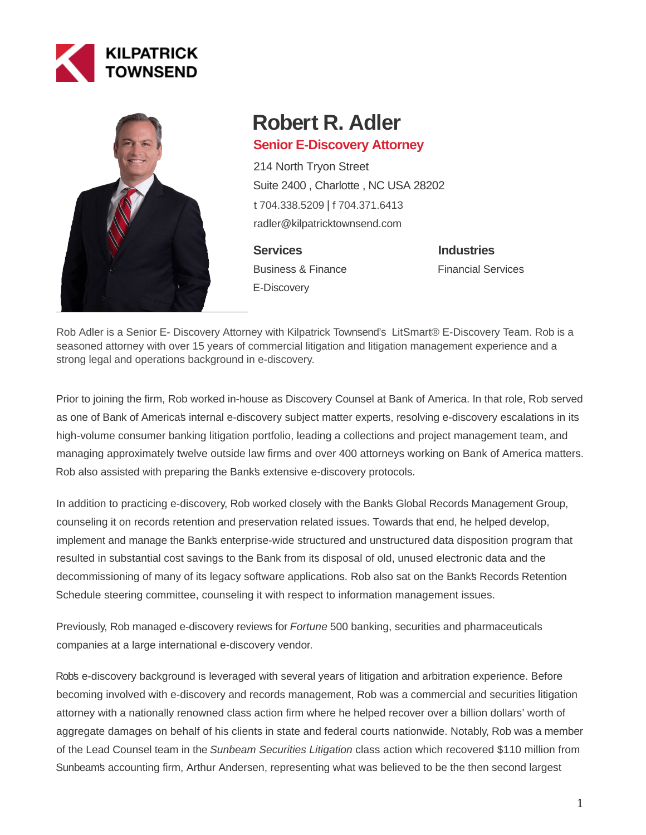



# **Robert R. Adler**

## **Senior E-Discovery Attorney**

214 North Tryon Street Suite 2400 , Charlotte , NC USA 28202 [t 704.338.5209](tel:704.338.5209) | [f 704.371.6413](fax:704.371.6413) radler@kilpatricktownsend.com

**Services** Business & Finance E-Discovery

**Industries** Financial Services

Rob Adler is a Senior E- Discovery Attorney with Kilpatrick Townsend's [LitSmart® E-Discovery Team.](https://www.ktlitsmart.com/) Rob is a seasoned attorney with over 15 years of commercial litigation and litigation management experience and a strong legal and operations background in e-discovery.

Prior to joining the firm, Rob worked in-house as Discovery Counsel at Bank of America. In that role, Rob served as one of Bank of America's internal e-discovery subject matter experts, resolving e-discovery escalations in its high-volume consumer banking litigation portfolio, leading a collections and project management team, and managing approximately twelve outside law firms and over 400 attorneys working on Bank of America matters. Rob also assisted with preparing the Bank's extensive e-discovery protocols.

In addition to practicing e-discovery, Rob worked closely with the Bank's Global Records Management Group, counseling it on records retention and preservation related issues. Towards that end, he helped develop, implement and manage the Bank's enterprise-wide structured and unstructured data disposition program that resulted in substantial cost savings to the Bank from its disposal of old, unused electronic data and the decommissioning of many of its legacy software applications. Rob also sat on the Bank's Records Retention Schedule steering committee, counseling it with respect to information management issues.

Previously, Rob managed e-discovery reviews for Fortune 500 banking, securities and pharmaceuticals companies at a large international e-discovery vendor.

Rob's e-discovery background is leveraged with several years of litigation and arbitration experience. Before becoming involved with e-discovery and records management, Rob was a commercial and securities litigation attorney with a nationally renowned class action firm where he helped recover over a billion dollars' worth of aggregate damages on behalf of his clients in state and federal courts nationwide. Notably, Rob was a member of the Lead Counsel team in the Sunbeam Securities Litigation class action which recovered \$110 million from Sunbeam's accounting firm, Arthur Andersen, representing what was believed to be the then second largest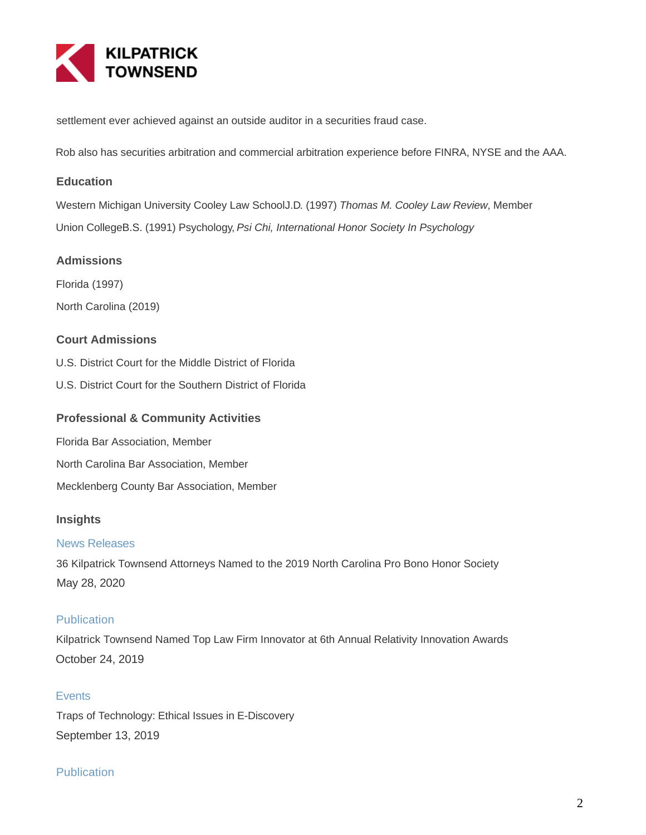

settlement ever achieved against an outside auditor in a securities fraud case.

Rob also has securities arbitration and commercial arbitration experience before FINRA, NYSE and the AAA.

#### **Education**

Western Michigan University Cooley Law SchoolJ.D. (1997) Thomas M. Cooley Law Review, Member Union CollegeB.S. (1991) Psychology, Psi Chi, International Honor Society In Psychology

#### **Admissions**

Florida (1997) North Carolina (2019)

### **Court Admissions**

- U.S. District Court for the Middle District of Florida
- U.S. District Court for the Southern District of Florida

#### **Professional & Community Activities**

- Florida Bar Association, Member
- North Carolina Bar Association, Member

Mecklenberg County Bar Association, Member

#### **Insights**

#### News Releases

36 Kilpatrick Townsend Attorneys Named to the 2019 North Carolina Pro Bono Honor Society May 28, 2020

#### **Publication**

Kilpatrick Townsend Named Top Law Firm Innovator at 6th Annual Relativity Innovation Awards October 24, 2019

#### **Events**

Traps of Technology: Ethical Issues in E-Discovery September 13, 2019

#### **Publication**